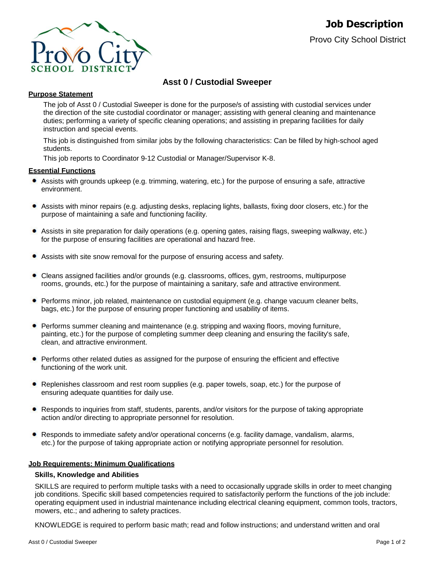

# **Asst 0 / Custodial Sweeper**

## **Purpose Statement**

The job of Asst 0 / Custodial Sweeper is done for the purpose/s of assisting with custodial services under the direction of the site custodial coordinator or manager; assisting with general cleaning and maintenance duties; performing a variety of specific cleaning operations; and assisting in preparing facilities for daily instruction and special events.

This job is distinguished from similar jobs by the following characteristics: Can be filled by high-school aged students.

This job reports to Coordinator 9-12 Custodial or Manager/Supervisor K-8.

### **Essential Functions**

- Assists with grounds upkeep (e.g. trimming, watering, etc.) for the purpose of ensuring a safe, attractive environment.
- ٠ Assists with minor repairs (e.g. adjusting desks, replacing lights, ballasts, fixing door closers, etc.) for the purpose of maintaining a safe and functioning facility.
- Assists in site preparation for daily operations (e.g. opening gates, raising flags, sweeping walkway, etc.) for the purpose of ensuring facilities are operational and hazard free.
- Assists with site snow removal for the purpose of ensuring access and safety.
- $\bullet$ Cleans assigned facilities and/or grounds (e.g. classrooms, offices, gym, restrooms, multipurpose rooms, grounds, etc.) for the purpose of maintaining a sanitary, safe and attractive environment.
- Performs minor, job related, maintenance on custodial equipment (e.g. change vacuum cleaner belts, bags, etc.) for the purpose of ensuring proper functioning and usability of items.
- Performs summer cleaning and maintenance (e.g. stripping and waxing floors, moving furniture, painting, etc.) for the purpose of completing summer deep cleaning and ensuring the facility's safe, clean, and attractive environment.
- Performs other related duties as assigned for the purpose of ensuring the efficient and effective functioning of the work unit.
- Replenishes classroom and rest room supplies (e.g. paper towels, soap, etc.) for the purpose of ensuring adequate quantities for daily use.
- $\bullet$ Responds to inquiries from staff, students, parents, and/or visitors for the purpose of taking appropriate action and/or directing to appropriate personnel for resolution.
- Responds to immediate safety and/or operational concerns (e.g. facility damage, vandalism, alarms, etc.) for the purpose of taking appropriate action or notifying appropriate personnel for resolution.

### **Job Requirements: Minimum Qualifications**

### **Skills, Knowledge and Abilities**

SKILLS are required to perform multiple tasks with a need to occasionally upgrade skills in order to meet changing job conditions. Specific skill based competencies required to satisfactorily perform the functions of the job include: operating equipment used in industrial maintenance including electrical cleaning equipment, common tools, tractors, mowers, etc.; and adhering to safety practices.

KNOWLEDGE is required to perform basic math; read and follow instructions; and understand written and oral